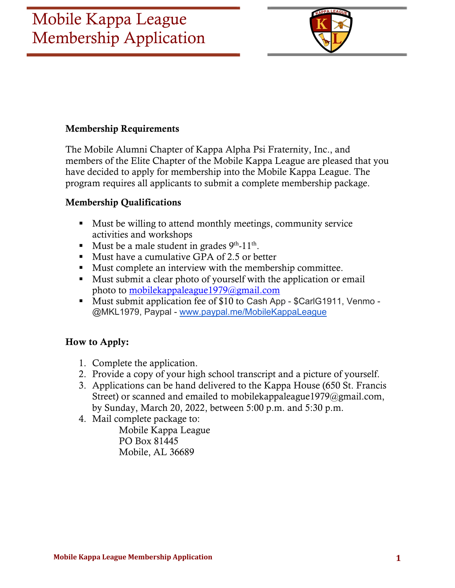

#### Membership Requirements

The Mobile Alumni Chapter of Kappa Alpha Psi Fraternity, Inc., and members of the Elite Chapter of the Mobile Kappa League are pleased that you have decided to apply for membership into the Mobile Kappa League. The program requires all applicants to submit a complete membership package.

#### Membership Qualifications

- Must be willing to attend monthly meetings, community service activities and workshops
- Must be a male student in grades  $9<sup>th</sup>$ -11<sup>th</sup>.
- Must have a cumulative GPA of 2.5 or better
- Must complete an interview with the membership committee.
- Must submit a clear photo of yourself with the application or email photo to mobilekappaleague1979@gmail.com
- Must submit application fee of \$10 to Cash App \$CarlG1911, Venmo -@MKL1979, Paypal - www.paypal.me/MobileKappaLeague

#### How to Apply:

- 1. Complete the application.
- 2. Provide a copy of your high school transcript and a picture of yourself.
- 3. Applications can be hand delivered to the Kappa House (650 St. Francis Street) or scanned and emailed to mobilekappaleague1979@gmail.com, by Sunday, March 20, 2022, between 5:00 p.m. and 5:30 p.m.
- 4. Mail complete package to:

Mobile Kappa League PO Box 81445 Mobile, AL 36689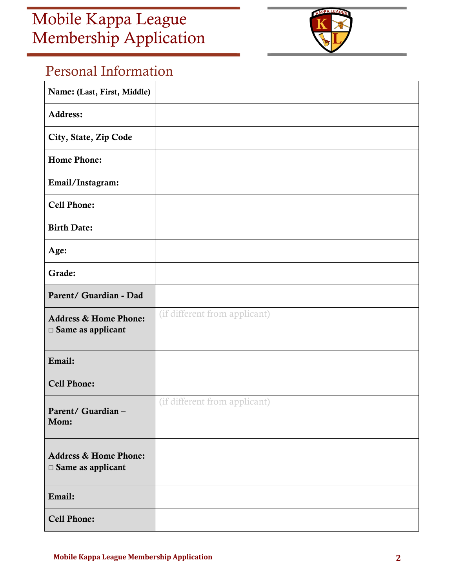

## Personal Information

| Name: (Last, First, Middle)                                     |                               |
|-----------------------------------------------------------------|-------------------------------|
| Address:                                                        |                               |
| City, State, Zip Code                                           |                               |
| <b>Home Phone:</b>                                              |                               |
| Email/Instagram:                                                |                               |
| <b>Cell Phone:</b>                                              |                               |
| <b>Birth Date:</b>                                              |                               |
| Age:                                                            |                               |
| Grade:                                                          |                               |
| Parent/ Guardian - Dad                                          |                               |
| <b>Address &amp; Home Phone:</b><br>$\Box$ Same as applicant    | (if different from applicant) |
| Email:                                                          |                               |
| <b>Cell Phone:</b>                                              |                               |
| Parent/ Guardian -<br>Mom:                                      | (if different from applicant) |
| <b>Address &amp; Home Phone:</b><br>$\square$ Same as applicant |                               |
| Email:                                                          |                               |
|                                                                 |                               |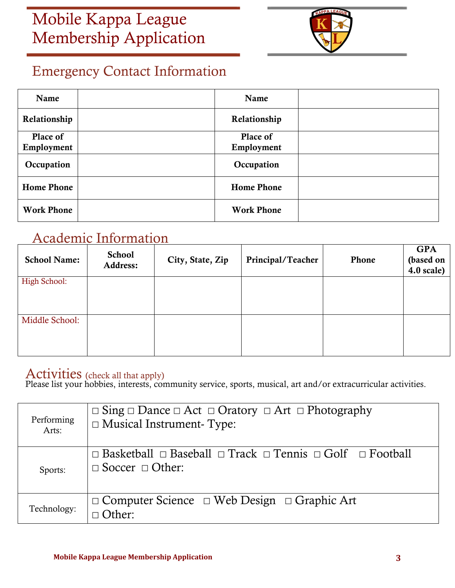

## Emergency Contact Information

| Name              | Name              |  |
|-------------------|-------------------|--|
| Relationship      | Relationship      |  |
| Place of          | Place of          |  |
| Employment        | Employment        |  |
| Occupation        | Occupation        |  |
| <b>Home Phone</b> | <b>Home Phone</b> |  |
| <b>Work Phone</b> | <b>Work Phone</b> |  |

### Academic Information

| <b>School Name:</b> | <b>School</b><br>Address: | City, State, Zip | Principal/Teacher | Phone | <b>GPA</b><br>(based on<br>$4.0$ scale) |
|---------------------|---------------------------|------------------|-------------------|-------|-----------------------------------------|
| High School:        |                           |                  |                   |       |                                         |
| Middle School:      |                           |                  |                   |       |                                         |

### Activities (check all that apply)

Please list your hobbies, interests, community service, sports, musical, art and/or extracurricular activities.

| Performing<br>Arts: | $\Box$ Sing $\Box$ Dance $\Box$ Act $\Box$ Oratory $\Box$ Art $\Box$ Photography<br>$\Box$ Musical Instrument-Type:     |
|---------------------|-------------------------------------------------------------------------------------------------------------------------|
| Sports:             | $\Box$ Basketball $\Box$ Baseball $\Box$ Track $\Box$ Tennis $\Box$ Golf $\Box$ Football<br>$\Box$ Soccer $\Box$ Other: |
| Technology:         | $\Box$ Computer Science $\Box$ Web Design $\Box$ Graphic Art<br>)ther <sup>.</sup>                                      |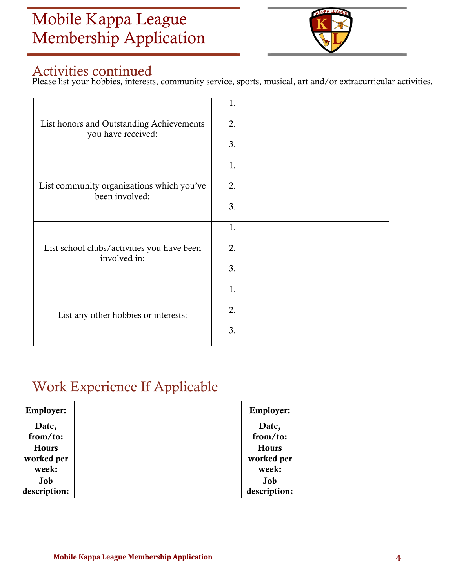

### Activities continued

Please list your hobbies, interests, community service, sports, musical, art and/or extracurricular activities.

| List honors and Outstanding Achievements<br>you have received: | 1.<br>2.<br>3. |
|----------------------------------------------------------------|----------------|
| List community organizations which you've<br>been involved:    | 1.<br>2.<br>3. |
| List school clubs/activities you have been<br>involved in:     | 1.<br>2.<br>3. |
| List any other hobbies or interests:                           | 1.<br>2.<br>3. |

## Work Experience If Applicable

| <b>Employer:</b> | <b>Employer:</b> |  |
|------------------|------------------|--|
| Date,            | Date,            |  |
| from/to:         | from/to:         |  |
| Hours            | Hours            |  |
| worked per       | worked per       |  |
| week:            | week:            |  |
| Job              | Job              |  |
| description:     | description:     |  |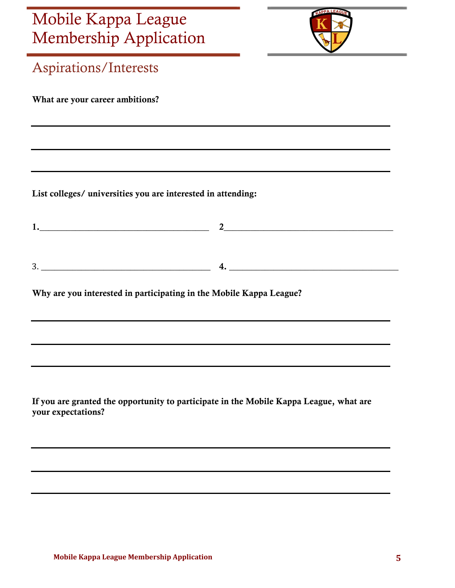

| mennocranip <i>r</i> repriedition                                                                            |  |
|--------------------------------------------------------------------------------------------------------------|--|
| <b>Aspirations/Interests</b>                                                                                 |  |
| What are your career ambitions?                                                                              |  |
|                                                                                                              |  |
| List colleges/ universities you are interested in attending:                                                 |  |
| 1.                                                                                                           |  |
| $3.$ $4.$                                                                                                    |  |
| Why are you interested in participating in the Mobile Kappa League?                                          |  |
|                                                                                                              |  |
|                                                                                                              |  |
| If you are granted the opportunity to participate in the Mobile Kappa League, what are<br>your expectations? |  |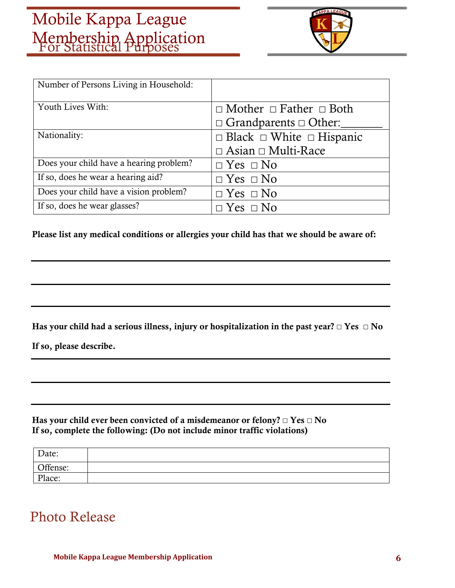

| Number of Persons Living in Household:  |                                           |
|-----------------------------------------|-------------------------------------------|
| Youth Lives With:                       | $\Box$ Mother $\Box$ Father $\Box$ Both   |
|                                         | $\Box$ Grandparents $\Box$ Other:         |
| Nationality:                            | $\Box$ Black $\Box$ White $\Box$ Hispanic |
|                                         | $\Box$ Asian $\Box$ Multi-Race            |
| Does your child have a hearing problem? | $\Box$ Yes $\Box$ No                      |
| If so, does he wear a hearing aid?      | $\Box$ Yes $\Box$ No                      |
| Does your child have a vision problem?  | $\Box$ Yes $\Box$ No                      |
| If so, does he wear glasses?            | $\Box$ Yes $\Box$ No                      |

Please list any medical conditions or allergies your child has that we should be aware of:

Has your child had a serious illness, injury or hospitalization in the past year? **☐** Yes **☐** No

If so, please describe.

Has your child ever been convicted of a misdemeanor or felony? **☐** Yes **☐** No If so, complete the following: (Do not include minor traffic violations)

| Date:    |  |
|----------|--|
| Offense: |  |
| Place:   |  |

### Photo Release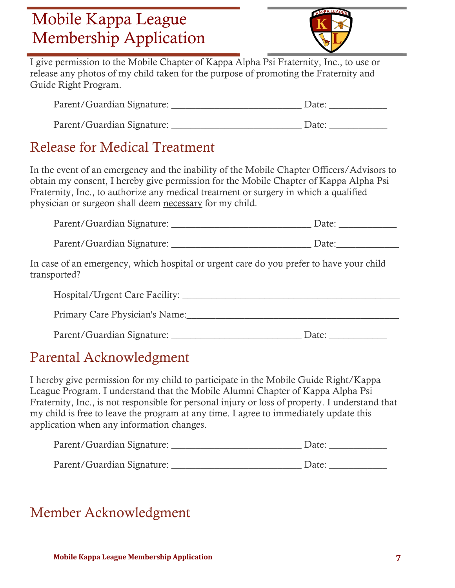

I give permission to the Mobile Chapter of Kappa Alpha Psi Fraternity, Inc., to use or release any photos of my child taken for the purpose of promoting the Fraternity and Guide Right Program.

| Parent/Guardian Signature: | Date: |
|----------------------------|-------|
| Parent/Guardian Signature: | Date: |

## Release for Medical Treatment

In the event of an emergency and the inability of the Mobile Chapter Officers/Advisors to obtain my consent, I hereby give permission for the Mobile Chapter of Kappa Alpha Psi Fraternity, Inc., to authorize any medical treatment or surgery in which a qualified physician or surgeon shall deem necessary for my child.

| Parent/Guardian Signature: | Date: |  |
|----------------------------|-------|--|
|----------------------------|-------|--|

Parent/Guardian Signature: \_\_\_\_\_\_\_\_\_\_\_\_\_\_\_\_\_\_\_\_\_\_\_\_\_\_\_\_\_ Date:\_\_\_\_\_\_\_\_\_\_\_\_\_

In case of an emergency, which hospital or urgent care do you prefer to have your child transported?

| Hospital/Urgent Care Facility: |  |
|--------------------------------|--|
| Primary Care Physician's Name: |  |

Parent/Guardian Signature: \_\_\_\_\_\_\_\_\_\_\_\_\_\_\_\_\_\_\_\_\_\_\_\_\_\_\_ Date: \_\_\_\_\_\_\_\_\_\_\_\_

## Parental Acknowledgment

I hereby give permission for my child to participate in the Mobile Guide Right/Kappa League Program. I understand that the Mobile Alumni Chapter of Kappa Alpha Psi Fraternity, Inc., is not responsible for personal injury or loss of property. I understand that my child is free to leave the program at any time. I agree to immediately update this application when any information changes.

| Parent/Guardian Signature: | Date: |
|----------------------------|-------|
| Parent/Guardian Signature: | Date: |

## Member Acknowledgment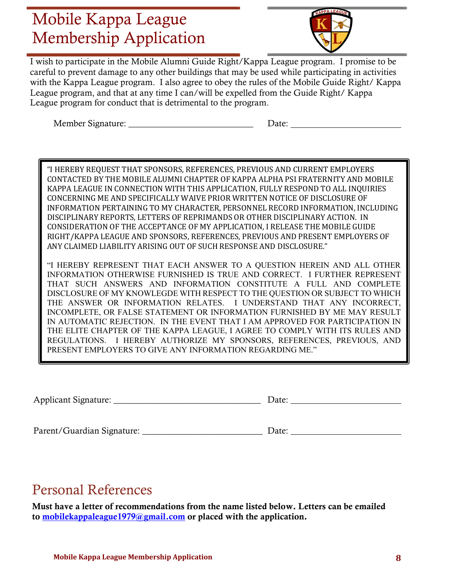

I wish to participate in the Mobile Alumni Guide Right/Kappa League program. I promise to be careful to prevent damage to any other buildings that may be used while participating in activities with the Kappa League program. I also agree to obey the rules of the Mobile Guide Right/ Kappa League program, and that at any time I can/will be expelled from the Guide Right/ Kappa League program for conduct that is detrimental to the program.

Member Signature:  $\qquad \qquad$  Date:

"I HEREBY REQUEST THAT SPONSORS, REFERENCES, PREVIOUS AND CURRENT EMPLOYERS CONTACTED BY THE MOBILE ALUMNI CHAPTER OF KAPPA ALPHA PSI FRATERNITY AND MOBILE KAPPA LEAGUE IN CONNECTION WITH THIS APPLICATION, FULLY RESPOND TO ALL INQUIRIES CONCERNING ME AND SPECIFICALLY WAIVE PRIOR WRITTEN NOTICE OF DISCLOSURE OF INFORMATION PERTAINING TO MY CHARACTER, PERSONNEL RECORD INFORMATION, INCLUDING DISCIPLINARY REPORTS, LETTERS OF REPRIMANDS OR OTHER DISCIPLINARY ACTION. IN CONSIDERATION OF THE ACCEPTANCE OF MY APPLICATION, I RELEASE THE MOBILE GUIDE RIGHT/KAPPA LEAGUE AND SPONSORS, REFERENCES, PREVIOUS AND PRESENT EMPLOYERS OF ANY CLAIMED LIABILITY ARISING OUT OF SUCH RESPONSE AND DISCLOSURE."

"I HEREBY REPRESENT THAT EACH ANSWER TO A QUESTION HEREIN AND ALL OTHER INFORMATION OTHERWISE FURNISHED IS TRUE AND CORRECT. I FURTHER REPRESENT THAT SUCH ANSWERS AND INFORMATION CONSTITUTE A FULL AND COMPLETE DISCLOSURE OF MY KNOWLEGDE WITH RESPECT TO THE QUESTION OR SUBJECT TO WHICH THE ANSWER OR INFORMATION RELATES. I UNDERSTAND THAT ANY INCORRECT, INCOMPLETE, OR FALSE STATEMENT OR INFORMATION FURNISHED BY ME MAY RESULT IN AUTOMATIC REJECTION. IN THE EVENT THAT I AM APPROVED FOR PARTICIPATION IN THE ELITE CHAPTER OF THE KAPPA LEAGUE, I AGREE TO COMPLY WITH ITS RULES AND REGULATIONS. I HEREBY AUTHORIZE MY SPONSORS, REFERENCES, PREVIOUS, AND PRESENT EMPLOYERS TO GIVE ANY INFORMATION REGARDING ME."

Applicant Signature: \_\_\_\_\_\_\_\_\_\_\_\_\_\_\_\_\_\_\_\_\_\_\_\_\_\_\_\_\_\_\_\_\_ Date:

Parent/Guardian Signature: \_\_\_\_\_\_\_\_\_\_\_\_\_\_\_\_\_\_\_\_\_\_\_\_\_\_\_ Date:

### Personal References

Must have a letter of recommendations from the name listed below. Letters can be emailed to mobilekappaleague1979@gmail.com or placed with the application.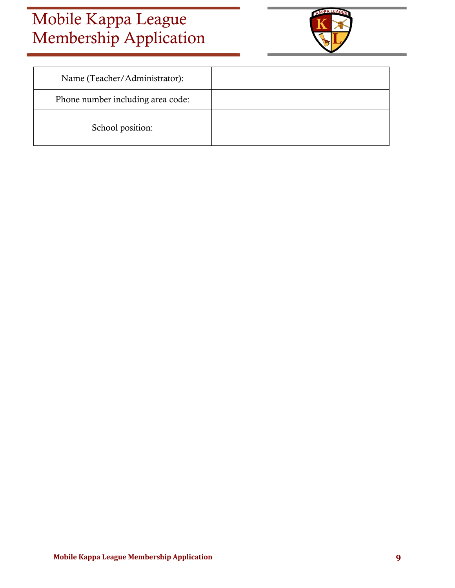

| Name (Teacher/Administrator):     |  |
|-----------------------------------|--|
| Phone number including area code: |  |
| School position:                  |  |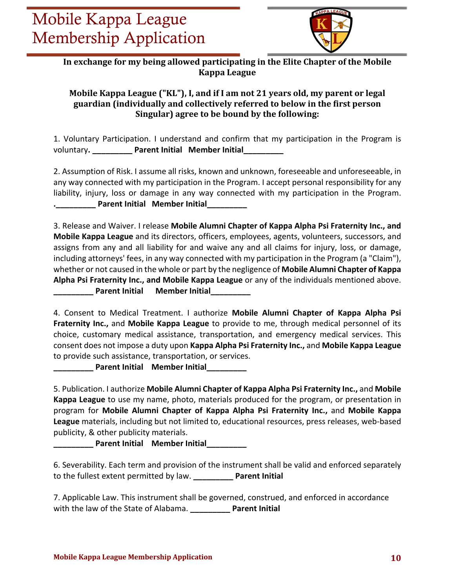

In exchange for my being allowed participating in the Elite Chapter of the Mobile **Kappa League**

#### **Mobile Kappa League ("KL"), I, and if I am not 21 years old, my parent or legal guardian (individually and collectively referred to below in the first person Singular)** agree to be bound by the following:

1. Voluntary Participation. I understand and confirm that my participation in the Program is voluntary**. \_\_\_\_\_\_\_\_\_ Parent Initial Member Initial\_\_\_\_\_\_\_\_\_**

2. Assumption of Risk. I assume all risks, known and unknown, foreseeable and unforeseeable, in any way connected with my participation in the Program. I accept personal responsibility for any liability, injury, loss or damage in any way connected with my participation in the Program. **.\_\_\_\_\_\_\_\_\_ Parent Initial Member Initial\_\_\_\_\_\_\_\_\_**

3. Release and Waiver. I release **Mobile Alumni Chapter of Kappa Alpha Psi Fraternity Inc., and Mobile Kappa League** and its directors, officers, employees, agents, volunteers, successors, and assigns from any and all liability for and waive any and all claims for injury, loss, or damage, including attorneys' fees, in any way connected with my participation in the Program (a "Claim"), whether or not caused in the whole or part by the negligence of **Mobile Alumni Chapter of Kappa Alpha Psi Fraternity Inc., and Mobile Kappa League** or any of the individuals mentioned above. **\_\_\_\_\_\_\_\_\_ Parent Initial Member Initial\_\_\_\_\_\_\_\_\_**

4. Consent to Medical Treatment. I authorize **Mobile Alumni Chapter of Kappa Alpha Psi Fraternity Inc.,** and **Mobile Kappa League** to provide to me, through medical personnel of its choice, customary medical assistance, transportation, and emergency medical services. This consent does not impose a duty upon **Kappa Alpha Psi Fraternity Inc.,** and **Mobile Kappa League** to provide such assistance, transportation, or services.

**\_\_\_\_\_\_\_\_\_ Parent Initial Member Initial\_\_\_\_\_\_\_\_\_**

5. Publication. I authorize **Mobile Alumni Chapter of Kappa Alpha Psi Fraternity Inc.,** and **Mobile Kappa League** to use my name, photo, materials produced for the program, or presentation in program for **Mobile Alumni Chapter of Kappa Alpha Psi Fraternity Inc.,** and **Mobile Kappa League** materials, including but not limited to, educational resources, press releases, web-based publicity, & other publicity materials.

**\_\_\_\_\_\_\_\_\_ Parent Initial Member Initial\_\_\_\_\_\_\_\_\_**

6. Severability. Each term and provision of the instrument shall be valid and enforced separately to the fullest extent permitted by law. **\_\_\_\_\_\_\_\_\_ Parent Initial** 

7. Applicable Law. This instrument shall be governed, construed, and enforced in accordance with the law of the State of Alabama. **\_\_\_\_\_\_\_\_\_ Parent Initial**